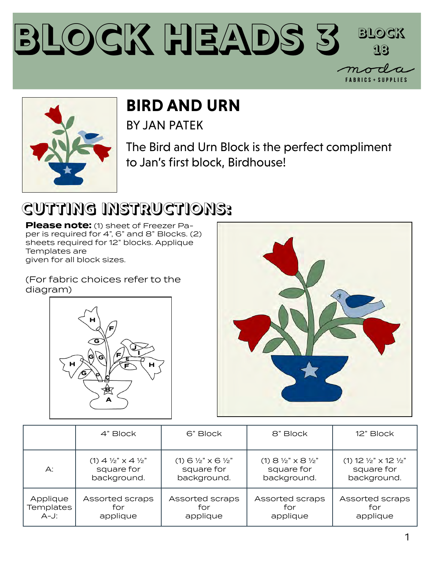



#### **BIRD AND URN**

BY JAN PATEK

The Bird and Urn Block is the perfect compliment to Jan's first block, Birdhouse!

### **CUTTING INSTRUCTIONS:**

**Please note:** (1) sheet of Freezer Paper is required for 4", 6" and 8" Blocks. (2) sheets required for 12" blocks. Applique Templates are given for all block sizes.

(For fabric choices refer to the diagram)





|                  | 4" Block                                    | 6" Block                                    | 8" Block                                    | 12" Block                                     |
|------------------|---------------------------------------------|---------------------------------------------|---------------------------------------------|-----------------------------------------------|
| А:               | $(1)$ 4 $\frac{1}{2}$ " x 4 $\frac{1}{2}$ " | $(1)$ 6 $\frac{1}{2}$ " x 6 $\frac{1}{2}$ " | $(1)$ 8 $\frac{1}{2}$ " x 8 $\frac{1}{2}$ " | $(1)$ 12 $\frac{1}{2}$ " x 12 $\frac{1}{2}$ " |
|                  | square for                                  | square for                                  | square for                                  | square for                                    |
|                  | background.                                 | background.                                 | background.                                 | background.                                   |
| Applique         | Assorted scraps                             | Assorted scraps                             | Assorted scraps                             | Assorted scraps                               |
| <b>Templates</b> | for                                         | for                                         | for                                         | for                                           |
| $A-J$ :          | applique                                    | applique                                    | applique                                    | applique                                      |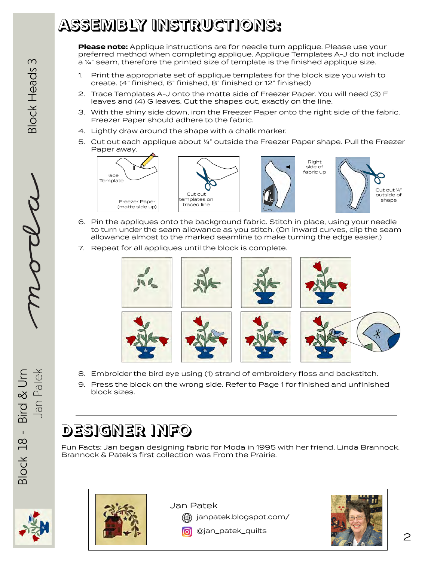### **ASSEMBLY INSTRUCTIONS:**

**Please note:** Applique instructions are for needle turn applique. Please use your preferred method when completing applique. Applique Templates A-J do not include a ¼" seam, therefore the printed size of template is the finished applique size.

- 1. Print the appropriate set of applique templates for the block size you wish to create. (4" finished, 6" finished, 8" finished or 12" finished)
- 2. Trace Templates A-J onto the matte side of Freezer Paper. You will need (3) F leaves and (4) G leaves. Cut the shapes out, exactly on the line.
- 3. With the shiny side down, iron the Freezer Paper onto the right side of the fabric. Freezer Paper should adhere to the fabric.
- 4. Lightly draw around the shape with a chalk marker.
- 5. Cut out each applique about ¼" outside the Freezer Paper shape. Pull the Freezer Paper away.



- 6. Pin the appliques onto the background fabric. Stitch in place, using your needle to turn under the seam allowance as you stitch. (On inward curves, clip the seam allowance almost to the marked seamline to make turning the edge easier.)
- 7. Repeat for all appliques until the block is complete.



- 8. Embroider the bird eye using (1) strand of embroidery floss and backstitch.
- 9. Press the block on the wrong side. Refer to Page 1 for finished and unfinished block sizes.

#### **DESIGNER INFO**

Fun Facts: Jan began designing fabric for Moda in 1995 with her friend, Linda Brannock. Brannock & Patek's first collection was From the Prairie.





Jan Patek

janpatek.blogspot.com/

**6** @jan\_patek\_quilts

Jan Patek  $\overline{\mathcal{M}\mathcal{L}\mathcal{L}}$ 

Block 18 - Bird & Urn Bird & Urn Jan Patek  $3lock$   $18 -$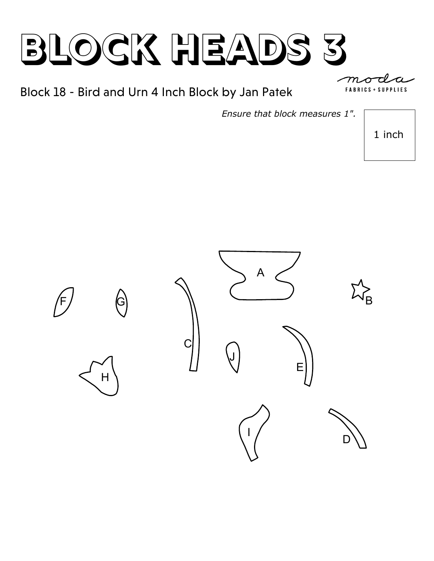Block 18 - Bird and Urn 4 Inch Block by Jan Patek

**SUPPLIES** FABRICS +

*Ensure that block measures 1".*

1 inch

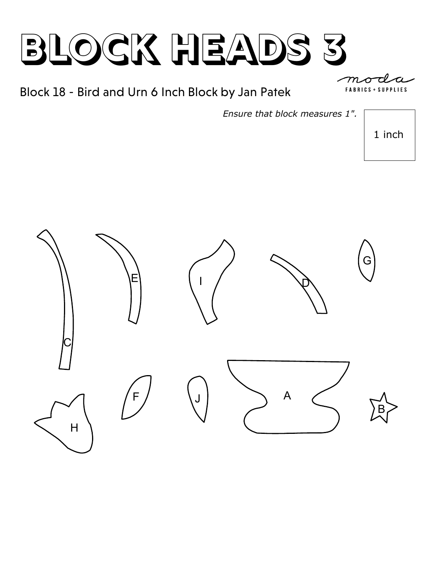Block 18 - Bird and Urn 6 Inch Block by Jan Patek

*Ensure that block measures 1".*

1 inch



**SUPPLIES FABRICS**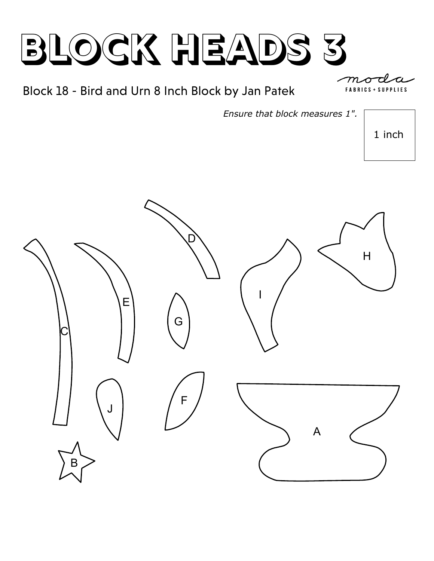#### Block 18 - Bird and Urn 8 Inch Block by Jan Patek

**FABRICS SUPPLIES** 

*Ensure that block measures 1".*

1 inch